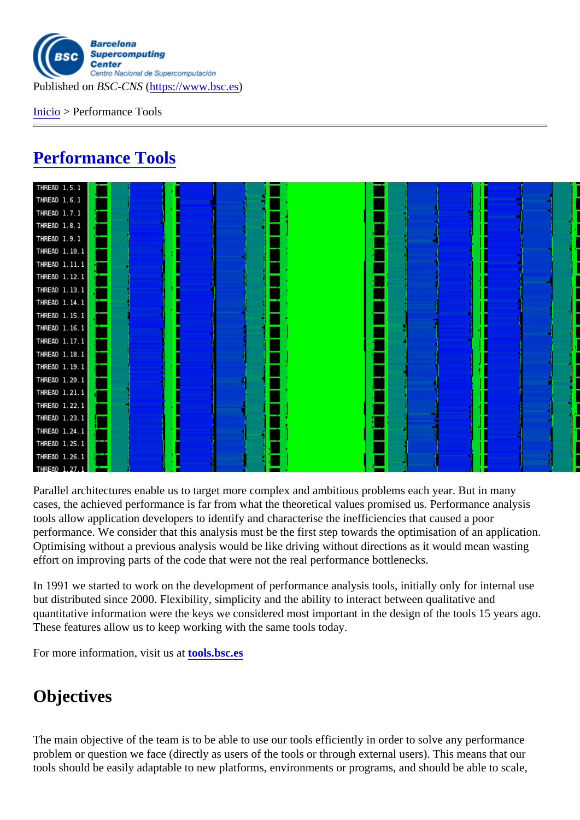Inicio > Performance Tools

## [Per](https://www.bsc.es/es)formance Tools

Parallel architectures enable us to target more complex and ambitious problems each year. But in many cases, the achieved performance is far from what the theoretical values promised us. Performance analysis tools allow application developers to identify and characterise the inefficiencies that caused a poor performance. We consider that this analysis must be the first step towards the optimisation of an application. Optimising without a previous analysis would be like driving without directions as it would mean wasting effort on improving parts of the code that were not the real performance bottlenecks.

In 1991 we started to work on the development of performance analysis tools, initially only for internal use but distributed since 2000. Flexibility, simplicity and the ability to interact between qualitative and quantitative information were the keys we considered most important in the design of the tools 15 years ago. These features allow us to keep working with the same tools today.

For more information, visit us adols.bsc.es

## **Objectives**

The main objective of the team is to be able to use our tools efficiently in order to solve any performance problem or question we face (directly as users of the tools or through external users). This means that our tools should be easily adaptable to new platforms, environments or programs, and should be able to scale,